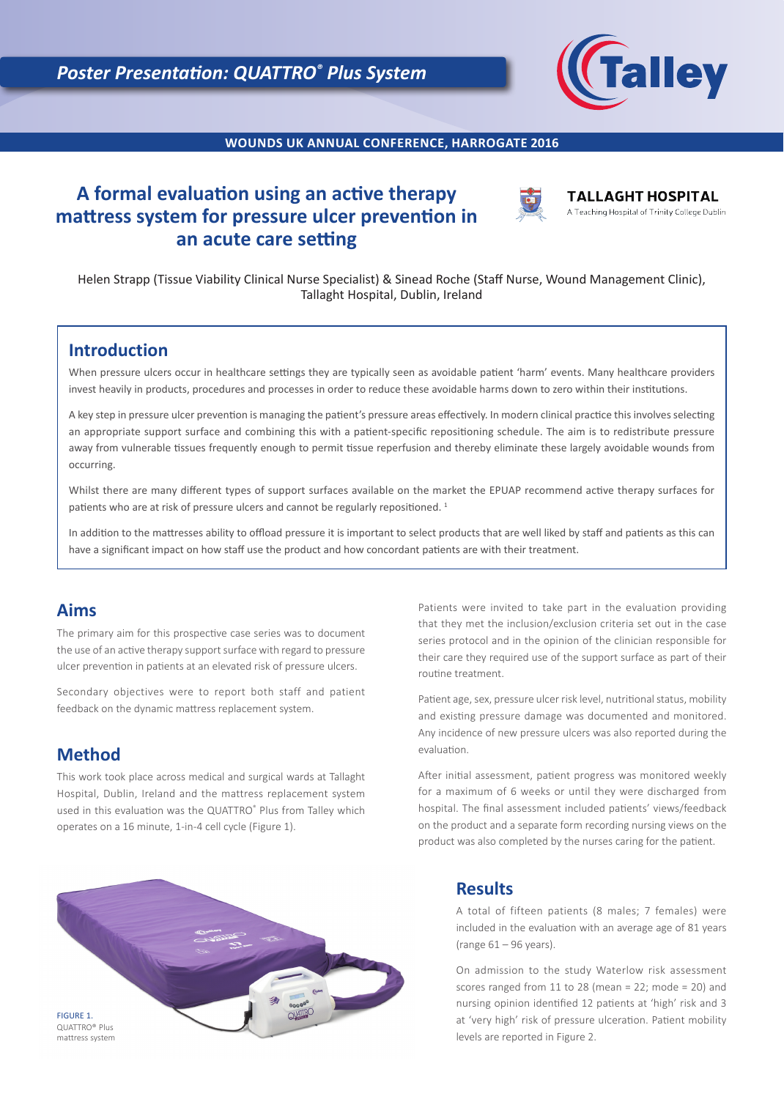

**WOUNDS UK ANNUAL CONFERENCE, HARROGATE 2016**

# **A formal evaluation using an active therapy mattress system for pressure ulcer prevention in an acute care setting**



**TALLAGHT HOSPITAL** A Teaching Hospital of Trinity College Dublin

Helen Strapp (Tissue Viability Clinical Nurse Specialist) & Sinead Roche (Staff Nurse, Wound Management Clinic), Tallaght Hospital, Dublin, Ireland

## **Introduction**

When pressure ulcers occur in healthcare settings they are typically seen as avoidable patient 'harm' events. Many healthcare providers invest heavily in products, procedures and processes in order to reduce these avoidable harms down to zero within their institutions.

A key step in pressure ulcer prevention is managing the patient's pressure areas effectively. In modern clinical practice this involves selecting an appropriate support surface and combining this with a patient-specific repositioning schedule. The aim is to redistribute pressure away from vulnerable tissues frequently enough to permit tissue reperfusion and thereby eliminate these largely avoidable wounds from occurring.

Whilst there are many different types of support surfaces available on the market the EPUAP recommend active therapy surfaces for patients who are at risk of pressure ulcers and cannot be regularly repositioned.<sup>1</sup>

In addition to the mattresses ability to offload pressure it is important to select products that are well liked by staff and patients as this can have a significant impact on how staff use the product and how concordant patients are with their treatment.

## **Aims**

The primary aim for this prospective case series was to document the use of an active therapy support surface with regard to pressure ulcer prevention in patients at an elevated risk of pressure ulcers.

Secondary objectives were to report both staff and patient feedback on the dynamic mattress replacement system.

## **Method**

This work took place across medical and surgical wards at Tallaght Hospital, Dublin, Ireland and the mattress replacement system used in this evaluation was the QUATTRO® Plus from Talley which operates on a 16 minute, 1-in-4 cell cycle (Figure 1).

Patients were invited to take part in the evaluation providing that they met the inclusion/exclusion criteria set out in the case series protocol and in the opinion of the clinician responsible for their care they required use of the support surface as part of their routine treatment.

Patient age, sex, pressure ulcer risk level, nutritional status, mobility and existing pressure damage was documented and monitored. Any incidence of new pressure ulcers was also reported during the evaluation.

After initial assessment, patient progress was monitored weekly for a maximum of 6 weeks or until they were discharged from hospital. The final assessment included patients' views/feedback on the product and a separate form recording nursing views on the product was also completed by the nurses caring for the patient.



## **Results**

A total of fifteen patients (8 males; 7 females) were included in the evaluation with an average age of 81 years (range 61 – 96 years).

On admission to the study Waterlow risk assessment scores ranged from 11 to 28 (mean = 22; mode = 20) and nursing opinion identified 12 patients at 'high' risk and 3 at 'very high' risk of pressure ulceration. Patient mobility levels are reported in Figure 2.